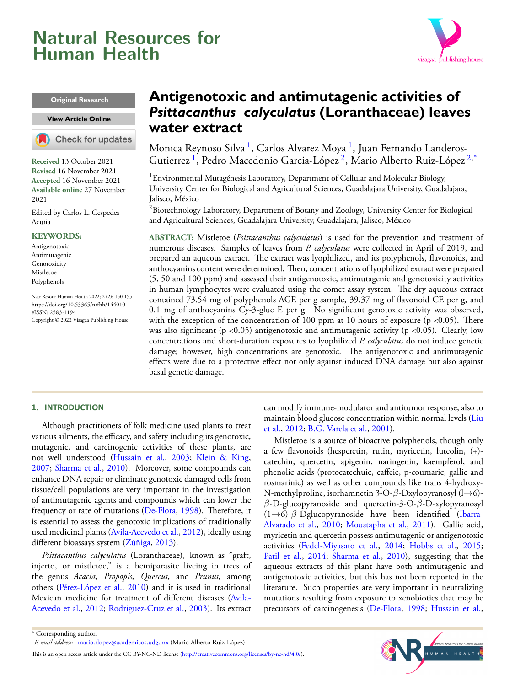# <span id="page-0-2"></span>**Natural Resources for Human Health**



#### **Original Research**

#### **View [Article Online]( https://doi.org/10.53365/nrfhh/144010)**



**Received** 13 October 2021 **Revised** 16 November 2021 **Accepted** 16 November 2021 **Available online** 27 November 2021

Edited by Carlos L. Cespedes Acuña

#### **KEYWORDS:**

Antigenotoxic Antimutagenic Genotoxicity Mistletoe Polyphenols

Natr Resour Human Health 2022; 2 (2): 150-155 <https://doi.org/10.53365/nrfhh/144010> eISSN: 2583-1194 Copyright © 2022 Visagaa Publishing House

# **Antigenotoxic and antimutagenic activities of** *Psittacanthus calyculatus* **(Loranthaceae) leaves water extract**

Monica Reynoso Silva <sup>[1](#page-0-0)</sup>, Carlos Alvarez Moya <sup>1</sup>, Juan Fernando Landeros-Gutierrez <sup>[1](#page-0-0)</sup>, Pedro Macedonio Garcia-López <sup>[2](#page-0-1)</sup>, Mario Alberto Ruiz-López <sup>2,\*</sup>

<span id="page-0-0"></span><sup>1</sup> Environmental Mutagénesis Laboratory, Department of Cellular and Molecular Biology, University Center for Biological and Agricultural Sciences, Guadalajara University, Guadalajara, Jalisco, México

<span id="page-0-1"></span><sup>2</sup>Biotechnology Laboratory, Department of Botany and Zoology, University Center for Biological and Agricultural Sciences, Guadalajara University, Guadalajara, Jalisco, México

**ABSTRACT:** Mistletoe (*Psittacanthus calyculatus*) is used for the prevention and treatment of numerous diseases. Samples of leaves from *P. calyculatus* were collected in April of 2019, and prepared an aqueous extract. The extract was lyophilized, and its polyphenols, flavonoids, and anthocyanins content were determined. Then, concentrations of lyophilized extract were prepared (5, 50 and 100 ppm) and assessed their antigenotoxic, antimutagenic and genotoxicity activities in human lymphocytes were evaluated using the comet assay system. The dry aqueous extract contained 73.54 mg of polyphenols AGE per g sample, 39.37 mg of flavonoid CE per g, and 0.1 mg of anthocyanins Cy-3-gluc E per g. No significant genotoxic activity was observed, with the exception of the concentration of 100 ppm at 10 hours of exposure ( $p \le 0.05$ ). There was also significant ( $p$  <0.05) antigenotoxic and antimutagenic activity ( $p$  <0.05). Clearly, low concentrations and short-duration exposures to lyophilized *P. calyculatus* do not induce genetic damage; however, high concentrations are genotoxic. The antigenotoxic and antimutagenic effects were due to a protective effect not only against induced DNA damage but also against basal genetic damage.

# **1. INTRODUCTION**

Although practitioners of folk medicine used plants to treat various ailments, the efficacy, and safety including its genotoxic, mutagenic, and carcinogenic activities of these plants, are not well understood [\(Hussain et al.,](#page-4-0) [2003](#page-4-0); [Klein & King,](#page-4-1) [2007](#page-4-1); [Sharma et al.,](#page-5-0) [2010\)](#page-5-0). Moreover, some compounds can enhance DNA repair or eliminate genotoxic damaged cells from tissue/cell populations are very important in the investigation of antimutagenic agents and compounds which can lower the frequencyor rate of mutations ([De-Flora](#page-4-2), [1998\)](#page-4-2). Therefore, it is essential to assess the genotoxic implications of traditionally used medicinal plants [\(Avila-Acevedo et al.,](#page-4-3) [2012](#page-4-3)), ideally using different bioassays system [\(Zúñiga](#page-5-1), [2013](#page-5-1)).

*Psittacanthus calyculatus* (Loranthaceae), known as "graft, injerto, or mistletoe," is a hemiparasite liveing in trees of the genus *Acacia*, *Propopis*, *Quercus*, and *Prunus*, among others [\(Pérez-López et al.](#page-5-2), [2010\)](#page-5-2) and it is used in traditional Mexican medicine for treatment of different diseases([Avila-](#page-4-3)[Acevedo et al.](#page-4-3), [2012;](#page-4-3) [Rodriguez-Cruz et al.](#page-5-3), [2003\)](#page-5-3). Its extract can modify immune-modulator and antitumor response, also to maintain blood glucose concentration within normal levels [\(Liu](#page-5-4) [et al.,](#page-5-4) [2012;](#page-5-4) [B.G. Varela et al.,](#page-5-5) [2001\)](#page-5-5).

Mistletoe is a source of bioactive polyphenols, though only a few flavonoids (hesperetin, rutin, myricetin, luteolin, (+) catechin, quercetin, apigenin, naringenin, kaempferol, and phenolic acids (protocatechuic, caffeic, p-coumaric, gallic and rosmarinic) as well as other compounds like trans 4-hydroxy-N-methylproline, isorhamnetin 3-O-*β*-Dxylopyranosyl (l*→*6) *β*-D-glucopyranoside and quercetin-3-O-*β*-D-xylopyranosyl (1*→*6)-*β*-Dglucopyranoside have been identified [\(Ibarra-](#page-4-4)[Alvarado et al.,](#page-4-4) [2010;](#page-4-4) [Moustapha et al.](#page-5-6), [2011](#page-5-6)). Gallic acid, myricetin and quercetin possess antimutagenic or antigenotoxic activities([Fedel-Miyasato et al.](#page-4-5), [2014;](#page-4-5) [Hobbs et al.,](#page-4-6) [2015](#page-4-6); [Patil et al.,](#page-5-7) [2014](#page-5-7); [Sharma et al.](#page-5-0), [2010\)](#page-5-0), suggesting that the aqueous extracts of this plant have both antimutagenic and antigenotoxic activities, but this has not been reported in the literature. Such properties are very important in neutralizing mutations resulting from exposure to xenobiotics that may be precursors of carcinogenesis([De-Flora,](#page-4-2) [1998;](#page-4-2) [Hussain et al.](#page-4-0),



<sup>\*</sup> Corresponding author.

*E-mail address:* [mario.rlopez@academicos.udg.mx](mailto:{mario.rlopez@academicos.udg.mx} ) (Mario Alberto Ruiz-López)

Thisis an open access article under the CC BY-NC-ND license (<http://creativecommons.org/licenses/by-nc-nd/4.0/>).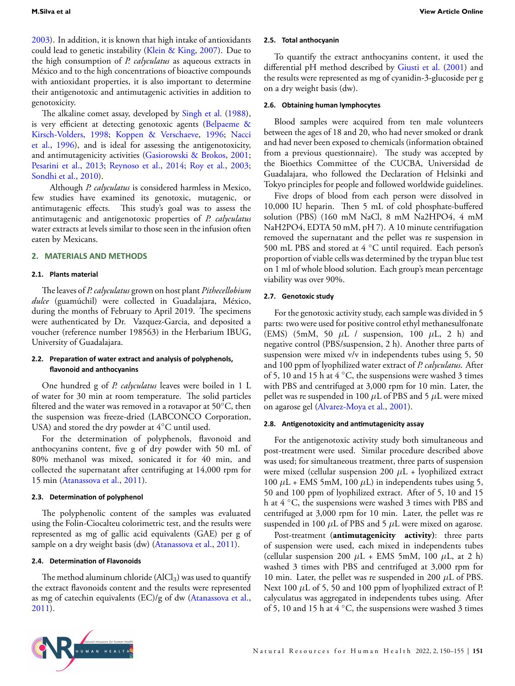[2003](#page-4-0)). In addition, it is known that high intake of antioxidants could lead to genetic instability [\(Klein & King](#page-4-1), [2007\)](#page-4-1). Due to the high consumption of *P. calyculatus* as aqueous extracts in México and to the high concentrations of bioactive compounds with antioxidant properties, it is also important to determine their antigenotoxic and antimutagenic activities in addition to genotoxicity.

The alkaline comet assay, developed by [Singh et al.](#page-5-8) [\(1988](#page-5-8)), is very efficient at detecting genotoxic agents([Belpaeme &](#page-4-7) [Kirsch-Volders](#page-4-7), [1998](#page-4-7); [Koppen & Verschaeve](#page-4-8), [1996;](#page-4-8) [Nacci](#page-5-9) [et al.,](#page-5-9) [1996\)](#page-5-9), and is ideal for assessing the antigenotoxicity, and antimutagenicity activities [\(Gasiorowski & Brokos,](#page-4-9) [2001;](#page-4-9) [Pesarini et al.](#page-5-10), [2013;](#page-5-10) [Reynoso et al.](#page-5-11), [2014;](#page-5-11) [Roy et al.](#page-5-12), [2003;](#page-5-12) [Sondhi et al.,](#page-5-13) [2010\)](#page-5-13).

Although *P. calyculatus* is considered harmless in Mexico, few studies have examined its genotoxic, mutagenic, or antimutagenic effects. This study's goal was to assess the antimutagenic and antigenotoxic properties of *P. calyculatus* water extracts at levels similar to those seen in the infusion often eaten by Mexicans.

#### **2. MATERIALS AND METHODS**

#### **2.1. Plants material**

The leaves of *P. calyculatus* grown on host plant *Pithecellobium dulce* (guamúchil) were collected in Guadalajara, México, during the months of February to April 2019. The specimens were authenticated by Dr. Vazquez-Garcia, and deposited a voucher (reference number 198563) in the Herbarium IBUG, University of Guadalajara.

#### **2.2. PreparaƟon of water extract and analysis of polyphenols, flavonoid and anthocyanins**

One hundred g of *P. calyculatus* leaves were boiled in 1 L of water for 30 min at room temperature. The solid particles filtered and the water was removed in a rotavapor at 50*◦*C, then the suspension was freeze-dried (LABCONCO Corporation, USA) and stored the dry powder at 4*◦*C until used.

For the determination of polyphenols, flavonoid and anthocyanins content, five g of dry powder with 50 mL of 80% methanol was mixed, sonicated it for 40 min, and collected the supernatant after centrifuging at 14,000 rpm for 15 min [\(Atanassova et al.,](#page-4-10) [2011](#page-4-10)).

#### **2.3. DeterminaƟon of polyphenol**

The polyphenolic content of the samples was evaluated using the Folin-Ciocalteu colorimetric test, and the results were represented as mg of gallic acid equivalents (GAE) per g of sample on a dry weight basis (dw) [\(Atanassova et al.](#page-4-10), [2011](#page-4-10)).

#### **2.4. DeterminaƟon of Flavonoids**

The method aluminum chloride  $(AlCl<sub>3</sub>)$  was used to quantify the extract flavonoids content and the results were represented asmg of catechin equivalents (EC)/g of dw ([Atanassova et al.,](#page-4-10) [2011](#page-4-10)).

#### **2.5. Total anthocyanin**

To quantify the extract anthocyanins content, it used the differential pH method described by [Giusti et al.](#page-4-11) ([2001\)](#page-4-11) and the results were represented as mg of cyanidin-3-glucoside per g on a dry weight basis (dw).

## **2.6. Obtaining human lymphocytes**

Blood samples were acquired from ten male volunteers between the ages of 18 and 20, who had never smoked or drank and had never been exposed to chemicals (information obtained from a previous questionnaire). The study was accepted by the Bioethics Committee of the CUCBA, Universidad de Guadalajara, who followed the Declaration of Helsinki and Tokyo principles for people and followed worldwide guidelines.

Five drops of blood from each person were dissolved in 10,000 IU heparin. Then 5 mL of cold phosphate-buffered solution (PBS) (160 mM NaCl, 8 mM Na2HPO4, 4 mM NaH2PO4, EDTA 50 mM, pH 7). A 10 minute centrifugation removed the supernatant and the pellet was re suspension in 500 mL PBS and stored at 4 *◦*C until required. Each person's proportion of viable cells was determined by the trypan blue test on 1 ml of whole blood solution. Each group's mean percentage viability was over 90%.

#### **2.7. Genotoxic study**

For the genotoxic activity study, each sample was divided in 5 parts: two were used for positive control ethyl methanesulfonate (EMS) (5mM, 50 *µ*L / suspension, 100 *µ*L, 2 h) and negative control (PBS/suspension, 2 h). Another three parts of suspension were mixed v/v in independents tubes using 5, 50 and 100 ppm of lyophilized water extract of *P. calyculatus*. After of 5, 10 and 15 h at 4 *◦*C, the suspensions were washed 3 times with PBS and centrifuged at 3,000 rpm for 10 min. Later, the pellet was re suspended in 100 *µ*L of PBS and 5 *µ*L were mixed on agarose gel [\(Alvarez-Moya et al.](#page-4-12), [2001](#page-4-12)).

#### **2.8. AnƟgenotoxicity and anƟmutagenicity assay**

For the antigenotoxic activity study both simultaneous and post-treatment were used. Similar procedure described above was used; for simultaneous treatment, three parts of suspension were mixed (cellular suspension 200 *µ*L + lyophilized extract 100  $\mu$ L + EMS 5mM, 100  $\mu$ L) in independents tubes using 5, 50 and 100 ppm of lyophilized extract. After of 5, 10 and 15 h at 4 *◦*C, the suspensions were washed 3 times with PBS and centrifuged at 3,000 rpm for 10 min. Later, the pellet was re suspended in 100 *µ*L of PBS and 5 *µ*L were mixed on agarose.

Post-treatment (**antimutagenicity activity)**: three parts of suspension were used, each mixed in independents tubes (cellular suspension 200  $\mu$ L + EMS 5mM, 100  $\mu$ L, at 2 h) washed 3 times with PBS and centrifuged at 3,000 rpm for 10 min. Later, the pellet was re suspended in 200 *µ*L of PBS. Next 100 *µ*L of 5, 50 and 100 ppm of lyophilized extract of P. calyculatus was aggregated in independents tubes using. After of 5, 10 and 15 h at 4 *◦*C, the suspensions were washed 3 times

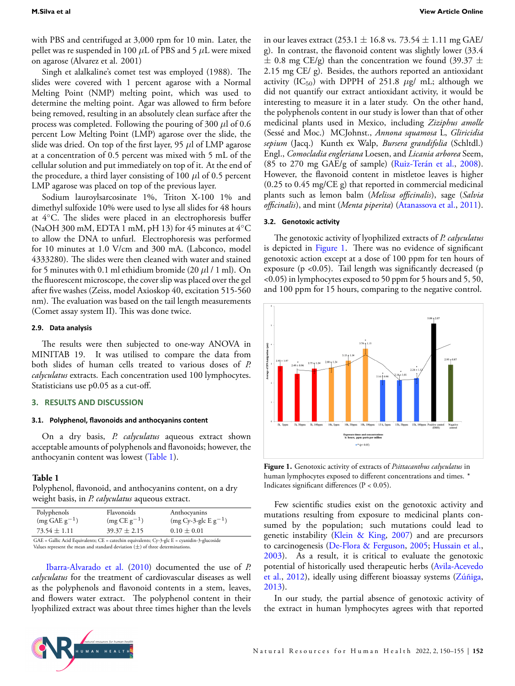with PBS and centrifuged at 3,000 rpm for 10 min. Later, the pellet was re suspended in 100 *µ*L of PBS and 5 *µ*L were mixed on agarose (Alvarez et al. 2001)

Singh et alalkaline's comet test was employed (1988). The slides were covered with 1 percent agarose with a Normal Melting Point (NMP) melting point, which was used to determine the melting point. Agar was allowed to firm before being removed, resulting in an absolutely clean surface after the process was completed. Following the pouring of 300 *µ*l of 0.6 percent Low Melting Point (LMP) agarose over the slide, the slide was dried. On top of the first layer, 95 *µ*l of LMP agarose at a concentration of 0.5 percent was mixed with 5 mL of the cellular solution and put immediately on top of it. At the end of the procedure, a third layer consisting of 100  $\mu$ l of 0.5 percent LMP agarose was placed on top of the previous layer.

Sodium lauroylsarcosinate 1%, Triton X-100 1% and dimethyl sulfoxide 10% were used to lyse all slides for 48 hours at 4*◦*C. The slides were placed in an electrophoresis buffer (NaOH 300 mM, EDTA 1 mM, pH 13) for 45 minutes at 4*◦*C to allow the DNA to unfurl. Electrophoresis was performed for 10 minutes at 1.0 V/cm and 300 mA. (Labconco, model 4333280). The slides were then cleaned with water and stained for 5 minutes with 0.1 ml ethidium bromide (20 *µ*l / 1 ml). On the fluorescent microscope, the cover slip was placed over the gel after five washes (Zeiss, model Axioskop 40, excitation 515-560 nm). The evaluation was based on the tail length measurements (Comet assay system II). This was done twice.

## **2.9. Data analysis**

The results were then subjected to one-way ANOVA in MINITAB 19. It was utilised to compare the data from both slides of human cells treated to various doses of *P. calyculatus* extracts. Each concentration used 100 lymphocytes. Statisticians use p0.05 as a cut-off.

#### **3. RESULTS AND DISCUSSION**

#### **3.1. Polyphenol, flavonoids and anthocyanins content**

On a dry basis, *P. calyculatus* aqueous extract shown acceptable amounts of polyphenols and flavonoids; however, the anthocyanin content was lowest (Table [1\)](#page-2-0).

#### <span id="page-2-0"></span>**Table 1**

Polyphenol, flavonoid, and anthocyanins content, on a dry weight basis, in *P. calyculatus* aqueous extract.

| Polyphenols                | Flavonoids                                                                                                                                 | Anthocyanins             |
|----------------------------|--------------------------------------------------------------------------------------------------------------------------------------------|--------------------------|
| $(mg \text{ GAE } g^{-1})$ | $(mg CE g-1)$                                                                                                                              | $(mg Cy-3-glc E g^{-1})$ |
| $73.54 \pm 1.11$           | $39.37 \pm 2.15$                                                                                                                           | $0.10 \pm 0.01$          |
|                            | $\alpha$ in $\alpha$ is in the set of $\alpha$ in the set of $\alpha$ in the set of $\alpha$ in the set of $\alpha$ in the set of $\alpha$ | $\cdots$                 |

GAE = Gallic Acid Equivalents; CE = catechin equivalents; Cy-3-glc E = cyanidin-3-glucoside Values represent the mean and standard deviation (*±*) of three determinations.

[Ibarra-Alvarado et al.](#page-4-4) [\(2010](#page-4-4)) documented the use of *P. calyculatus* for the treatment of cardiovascular diseases as well as the polyphenols and flavonoid contents in a stem, leaves, and flowers water extract. The polyphenol content in their lyophilized extract was about three times higher than the levels in our leaves extract (253.1 *±* 16.8 vs. 73.54 *±* 1.11 mg GAE/ g). In contrast, the flavonoid content was slightly lower (33.4 *±* 0.8 mg CE/g) than the concentration we found (39.37 *±* 2.15 mg CE/ g). Besides, the authors reported an antioxidant activity (IC<sub>50</sub>) with DPPH of 251.8  $\mu$ g/ mL; although we did not quantify our extract antioxidant activity, it would be interesting to measure it in a later study. On the other hand, the polyphenols content in our study is lower than that of other medicinal plants used in Mexico, including *Ziziphus amolle* (Sessé and Moc.) MCJohnst., *Annona squamosa* L, *Gliricidia sepium* (Jacq.) Kunth ex Walp, *Bursera grandifolia* (Schltdl.) Engl., *Comocladia engleriana* Loesen, and *Licania arborea* Seem, (85 to 270 mg GAE/g of sample) [\(Ruiz-Terán et al.](#page-5-14), [2008\)](#page-5-14). However, the flavonoid content in mistletoe leaves is higher (0.25 to 0.45 mg/CE g) that reported in commercial medicinal plants such as lemon balm (*Melissa officinalis*), sage (*Salvia officinalis*), and mint (*Menta piperita*)([Atanassova et al.,](#page-4-10) [2011\)](#page-4-10).

#### **3.2. Genotoxic acƟvity**

The genotoxic activity of lyophilized extracts of *P. calyculatus* is depicted in Figure [1](#page-2-1). There was no evidence of significant genotoxic action except at a dose of 100 ppm for ten hours of exposure (p <0.05). Tail length was significantly decreased (p <0.05) in lymphocytes exposed to 50 ppm for 5 hours and 5, 50, and 100 ppm for 15 hours, comparing to the negative control.

<span id="page-2-1"></span>

**Figure 1.** Genotoxic activity of extracts of *Psittacanthus calyculatus* in human lymphocytes exposed to different concentrations and times. \* Indicates significant differences (P < 0.05).

Few scientific studies exist on the genotoxic activity and mutations resulting from exposure to medicinal plants consumed by the population; such mutations could lead to genetic instability [\(Klein & King,](#page-4-1) [2007\)](#page-4-1) and are precursors to carcinogenesis [\(De-Flora & Ferguson](#page-4-13), [2005;](#page-4-13) [Hussain et al.](#page-4-0), [2003](#page-4-0)). As a result, it is critical to evaluate the genotoxic potential of historically used therapeutic herbs([Avila-Acevedo](#page-4-3) [et al.](#page-4-3), [2012](#page-4-3)), ideally using different bioassay systems [\(Zúñiga](#page-5-1), [2013](#page-5-1)).

In our study, the partial absence of genotoxic activity of the extract in human lymphocytes agrees with that reported

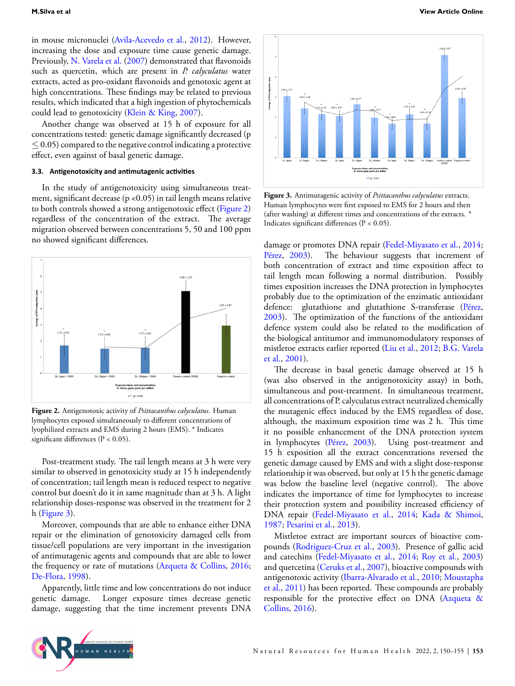in mouse micronuclei([Avila-Acevedo et al.](#page-4-3), [2012](#page-4-3)). However, increasing the dose and exposure time cause genetic damage. Previously, [N. Varela et al.](#page-5-15) ([2007\)](#page-5-15) demonstrated that flavonoids such as quercetin, which are present in *P. calyculatus* water extracts, acted as pro-oxidant flavonoids and genotoxic agent at high concentrations. These findings may be related to previous results, which indicated that a high ingestion of phytochemicals could lead to genotoxicity([Klein & King,](#page-4-1) [2007\)](#page-4-1).

Another change was observed at 15 h of exposure for all concentrations tested: genetic damage significantly decreased (p *≤* 0.05) compared to the negative control indicating a protective effect, even against of basal genetic damage.

## **3.3. AnƟgenotoxicity and anƟmutagenic acƟviƟes**

In the study of antigenotoxicity using simultaneous treatment, significant decrease (p <0.05) in tail length means relative to both controls showed a strong antigenotoxic effect (Figure [2\)](#page-3-0) regardless of the concentration of the extract. The average migration observed between concentrations 5, 50 and 100 ppm no showed significant differences.

<span id="page-3-0"></span>

**Figure 2.** Antigenotoxic activity of *Psittacanthus calyculatus*. Human lymphocytes exposed simultaneously to different concentrations of lyophilized extracts and EMS during 2 hours (EMS). \* Indicates significant differences (P < 0.05).

Post-treatment study. The tail length means at 3 h were very similar to observed in genotoxicity study at 15 h independently of concentration; tail length mean is reduced respect to negative control but doesn't do it in same magnitude than at 3 h. A light relationship doses-response was observed in the treatment for 2 h (Figure [3](#page-3-1)).

Moreover, compounds that are able to enhance either DNA repair or the elimination of genotoxicity damaged cells from tissue/cell populations are very important in the investigation of antimutagenic agents and compounds that are able to lower the frequency or rate of mutations [\(Azqueta & Collins,](#page-4-14) [2016;](#page-4-14) [De-Flora,](#page-4-2) [1998](#page-4-2)).

Apparently, little time and low concentrations do not induce genetic damage. Longer exposure times decrease genetic damage, suggesting that the time increment prevents DNA

<span id="page-3-1"></span>

**Figure 3.** Antimutagenic activity of *Psittacanthus calyculatus* extracts. Human lymphocytes were first exposed to EMS for 2 hours and then (after washing) at different times and concentrations of the extracts. \* Indicates significant differences (P < 0.05).

damage or promotes DNA repair([Fedel-Miyasato et al.,](#page-4-5) [2014](#page-4-5); [Pérez](#page-5-16), [2003\)](#page-5-16). The behaviour suggests that increment of both concentration of extract and time exposition affect to tail length mean following a normal distribution. Possibly times exposition increases the DNA protection in lymphocytes probably due to the optimization of the enzimatic antioxidant defence: glutathione and glutathione S-transferase [\(Pérez](#page-5-16), [2003](#page-5-16)). The optimization of the functions of the antioxidant defence system could also be related to the modification of the biological antitumor and immunomodulatory responses of mistletoe extracts earlier reported([Liu et al.,](#page-5-4) [2012;](#page-5-4) [B.G. Varela](#page-5-5) [et al.,](#page-5-5) [2001\)](#page-5-5).

The decrease in basal genetic damage observed at 15 h (was also observed in the antigenotoxicity assay) in both, simultaneous and post-treatment. In simultaneous treatment, all concentrations of P. calyculatus extract neutralized chemically the mutagenic effect induced by the EMS regardless of dose, although, the maximum exposition time was 2 h. This time it no possible enhancement of the DNA protection system in lymphocytes [\(Pérez](#page-5-16), [2003](#page-5-16)). Using post-treatment and 15 h exposition all the extract concentrations reversed the genetic damage caused by EMS and with a slight dose-response relationship it was observed, but only at 15 h the genetic damage was below the baseline level (negative control). The above indicates the importance of time for lymphocytes to increase their protection system and possibility increased efficiency of DNA repair [\(Fedel-Miyasato et al.](#page-4-5), [2014;](#page-4-5) [Kada & Shimoi](#page-4-15), [1987](#page-4-15); [Pesarini et al.,](#page-5-10) [2013\)](#page-5-10).

Mistletoe extract are important sources of bioactive compounds([Rodriguez-Cruz et al.](#page-5-3), [2003](#page-5-3)). Presence of gallic acid and catechins [\(Fedel-Miyasato et al.,](#page-4-5) [2014](#page-4-5); [Roy et al.](#page-5-12), [2003\)](#page-5-12) and quercetina([Ceruks et al.](#page-4-16), [2007](#page-4-16)), bioactive compounds with antigenotoxic activity [\(Ibarra-Alvarado et al.](#page-4-4), [2010](#page-4-4); [Moustapha](#page-5-6) [et al.](#page-5-6), [2011\)](#page-5-6) has been reported. These compounds are probably responsible for the protective effect on DNA [\(Azqueta &](#page-4-14) [Collins](#page-4-14), [2016](#page-4-14)).

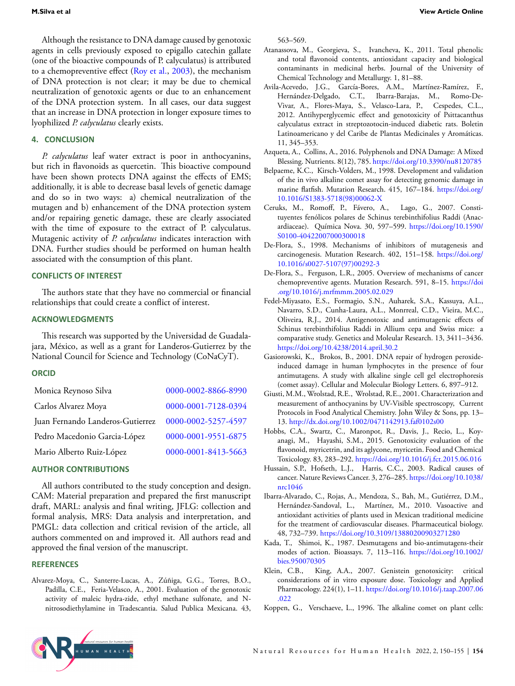Although the resistance to DNA damage caused by genotoxic agents in cells previously exposed to epigallo catechin gallate (one of the bioactive compounds of P. calyculatus) is attributed to a chemopreventive effect [\(Roy et al.](#page-5-12), [2003\)](#page-5-12), the mechanism of DNA protection is not clear; it may be due to chemical neutralization of genotoxic agents or due to an enhancement of the DNA protection system. In all cases, our data suggest that an increase in DNA protection in longer exposure times to lyophilized *P. calyculatus* clearly exists.

# **4. CONCLUSION**

*P. calyculatus* leaf water extract is poor in anthocyanins, but rich in flavonoids as quercetin. This bioactive compound have been shown protects DNA against the effects of EMS; additionally, it is able to decrease basal levels of genetic damage and do so in two ways: a) chemical neutralization of the mutagen and b) enhancement of the DNA protection system and/or repairing genetic damage, these are clearly associated with the time of exposure to the extract of P. calyculatus. Mutagenic activity of *P. calyculatus* indicates interaction with DNA. Further studies should be performed on human health associated with the consumption of this plant.

#### **CONFLICTS OF INTEREST**

The authors state that they have no commercial or financial relationships that could create a conflict of interest.

# **ACKNOWLEDGMENTS**

This research was supported by the Universidad de Guadalajara, México, as well as a grant for Landeros-Gutierrez by the National Council for Science and Technology (CoNaCyT).

#### **ORCID**

| 0000-0002-8866-8990 |
|---------------------|
| 0000-0001-7128-0394 |
| 0000-0002-5257-4597 |
| 0000-0001-9551-6875 |
| 0000-0001-8413-5663 |
|                     |

#### **AUTHOR CONTRIBUTIONS**

All authors contributed to the study conception and design. CAM: Material preparation and prepared the first manuscript draft, MARL: analysis and final writing, JFLG: collection and formal analysis, MRS: Data analysis and interpretation, and PMGL: data collection and critical revision of the article, all authors commented on and improved it. All authors read and approved the final version of the manuscript.

#### **REFERENCES**

<span id="page-4-12"></span>Alvarez-Moya, C., Santerre-Lucas, A., Zúñiga, G.G., Torres, B.O., Padilla, C.E., Feria-Velasco, A., 2001. Evaluation of the genotoxic activity of maleic hydra-zide, ethyl methane sulfonate, and Nnitrosodiethylamine in Tradescantia. Salud Publica Mexicana. 43, 563–569.

- <span id="page-4-10"></span>Atanassova, M., Georgieva, S., Ivancheva, K., 2011. Total phenolic and total flavonoid contents, antioxidant capacity and biological contaminants in medicinal herbs. Journal of the University of Chemical Technology and Metallurgy. 1, 81–88.
- <span id="page-4-3"></span>Avila-Acevedo, J.G., García-Bores, A.M., Martínez-Ramírez, F., Hernández-Delgado, C.T., Ibarra-Barajas, M., Romo-De-Vivar, A., Flores-Maya, S., Velasco-Lara, P., Cespedes, C.L., 2012. Antihyperglycemic effect and genotoxicity of Psittacanthus calyculatus extract in streptozotocin-induced diabetic rats. Boletin Latinoamericano y del Caribe de Plantas Medicinales y Aromáticas. 11, 345–353.
- <span id="page-4-14"></span>Azqueta, A., Collins, A., 2016. Polyphenols and DNA Damage: A Mixed Blessing. Nutrients. 8(12), 785. <https://doi.org/10.3390/nu8120785>
- <span id="page-4-7"></span>Belpaeme, K.C., Kirsch-Volders, M., 1998. Development and validation of the in vivo alkaline comet assay for detecting genomic damage in marine flatfish. Mutation Research. 415, 167–184. [https://doi.org/](https://doi.org/10.1016/S1383-5718(98)00062-X) [10.1016/S1383-5718\(98\)00062-X](https://doi.org/10.1016/S1383-5718(98)00062-X)
- <span id="page-4-16"></span>Ceruks, M., Romoff, P., Fávero, A., Lago, G., 2007. Constituyentes fenólicos polares de Schinus terebinthifolius Raddi (Anacardiaceae). Química Nova. 30, 597–599. [https://doi.org/10.1590/](https://doi.org/10.1590/S0100-40422007000300018) [S0100-40422007000300018](https://doi.org/10.1590/S0100-40422007000300018)
- <span id="page-4-2"></span>De-Flora, S., 1998. Mechanisms of inhibitors of mutagenesis and carcinogenesis. Mutation Research. 402, 151–158. [https://doi.org/](https://doi.org/10.1016/s0027-5107(97)00292-3) [10.1016/s0027-5107\(97\)00292-3](https://doi.org/10.1016/s0027-5107(97)00292-3)
- <span id="page-4-13"></span>De-Flora, S., Ferguson, L.R., 2005. Overview of mechanisms of cancer chemopreventive agents. Mutation Research. 591, 8–15. [https://doi](https://doi.org/10.1016/j.mrfmmm.2005.02.029) [.org/10.1016/j.mrfmmm.2005.02.029](https://doi.org/10.1016/j.mrfmmm.2005.02.029)
- <span id="page-4-5"></span>Fedel-Miyasato, E.S., Formagio, S.N., Auharek, S.A., Kassuya, A.L., Navarro, S.D., Cunha-Laura, A.L., Monrreal, C.D., Vieira, M.C., Oliveira, R.J., 2014. Antigenotoxic and antimutagenic effects of Schinus terebinthifolius Raddi in Allium cepa and Swiss mice: a comparative study. Genetics and Moleular Research. 13, 3411–3436. <https://doi.org/10.4238/2014.april.30.2>
- <span id="page-4-9"></span>Gasiorowski, K., Brokos, B., 2001. DNA repair of hydrogen peroxideinduced damage in human lymphocytes in the presence of four antimutagens. A study with alkaline single cell gel electrophoresis (comet assay). Cellular and Molecular Biology Letters. 6, 897–912.
- <span id="page-4-11"></span>Giusti, M.M., Wrolstad, R.E., Wrolstad, R.E., 2001. Characterization and measurement of anthocyanins by UV-Visible spectroscopy, Current Protocols in Food Analytical Chemistry. John Wiley & Sons, pp. 13– 13. <http://dx.doi.org/10.1002/0471142913.faf0102s00>
- <span id="page-4-6"></span>Hobbs, C.A., Swartz, C., Maronpot, R., Davis, J., Recio, L., Koyanagi, M., Hayashi, S.M., 2015. Genotoxicity evaluation of the flavonoid, myricetrin, and its aglycone, myricetin. Food and Chemical Toxicology. 83, 283–292. <https://doi.org/10.1016/j.fct.2015.06.016>
- <span id="page-4-0"></span>Hussain, S.P., Hofseth, L.J., Harris, C.C., 2003. Radical causes of cancer. Nature Reviews Cancer. 3, 276–285. [https://doi.org/10.1038/](https://doi.org/10.1038/nrc1046) [nrc1046](https://doi.org/10.1038/nrc1046)
- <span id="page-4-4"></span>Ibarra-Alvarado, C., Rojas, A., Mendoza, S., Bah, M., Gutiérrez, D.M., Hernández-Sandoval, L., Martínez, M., 2010. Vasoactive and antioxidant activities of plants used in Mexican traditional medicine for the treatment of cardiovascular diseases. Pharmaceutical biology. 48, 732–739. <https://doi.org/10.3109/13880200903271280>
- <span id="page-4-15"></span>Kada, T., Shimoi, K., 1987. Desmutagens and bio-antimutagens-their modes of action. Bioassays. 7, 113–116. [https://doi.org/10.1002/](https://doi.org/10.1002/bies.950070305) [bies.950070305](https://doi.org/10.1002/bies.950070305)
- <span id="page-4-1"></span>Klein, C.B., King, A.A., 2007. Genistein genotoxicity: critical considerations of in vitro exposure dose. Toxicology and Applied Pharmacology. 224(1), 1–11. [https://doi.org/10.1016/j.taap.2007.06](https://doi.org/10.1016/j.taap.2007.06.022) [.022](https://doi.org/10.1016/j.taap.2007.06.022)
- <span id="page-4-8"></span>Koppen, G., Verschaeve, L., 1996. The alkaline comet on plant cells: